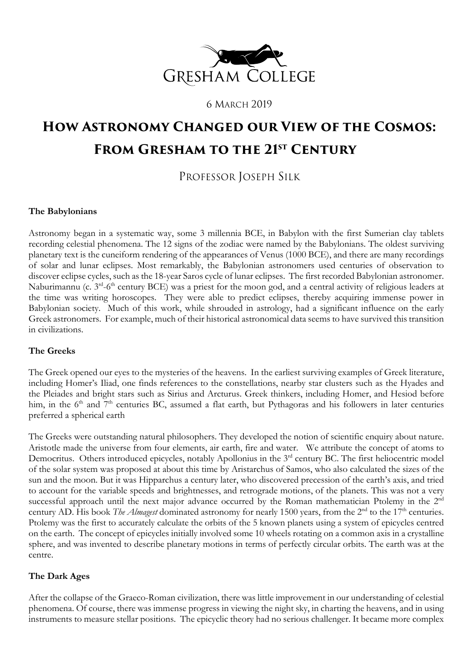

6 MARCH 2019

# **How Astronomy Changed our View of the Cosmos: From Gresham to the 21st Century**

# PROFESSOR JOSEPH SILK

## **The Babylonians**

Astronomy began in a systematic way, some 3 millennia BCE, in Babylon with the first Sumerian clay tablets recording celestial phenomena. The 12 signs of the zodiac were named by the Babylonians. The oldest surviving planetary text is the cuneiform rendering of the appearances of Venus (1000 BCE), and there are many recordings of solar and lunar eclipses. Most remarkably, the Babylonian astronomers used centuries of observation to discover eclipse cycles, such as the 18-year Saros cycle of lunar eclipses. The first recorded Babylonian astronomer. Naburimannu (c. 3<sup>rd</sup>-6<sup>th</sup> century BCE) was a priest for the moon god, and a central activity of religious leaders at the time was writing horoscopes. They were able to predict eclipses, thereby acquiring immense power in Babylonian society. Much of this work, while shrouded in astrology, had a significant influence on the early Greek astronomers. For example, much of their historical astronomical data seems to have survived this transition in civilizations.

#### **The Greeks**

The Greek opened our eyes to the mysteries of the heavens. In the earliest surviving examples of Greek literature, including Homer's Iliad, one finds references to the constellations, nearby star clusters such as the Hyades and the Pleiades and bright stars such as Sirius and Arcturus. Greek thinkers, including Homer, and Hesiod before him, in the 6<sup>th</sup> and 7<sup>th</sup> centuries BC, assumed a flat earth, but Pythagoras and his followers in later centuries preferred a spherical earth

The Greeks were outstanding natural philosophers. They developed the notion of scientific enquiry about nature. Aristotle made the universe from four elements, air earth, fire and water. We attribute the concept of atoms to Democritus. Others introduced epicycles, notably Apollonius in the 3<sup>rd</sup> century BC. The first heliocentric model of the solar system was proposed at about this time by Aristarchus of Samos, who also calculated the sizes of the sun and the moon. But it was Hipparchus a century later, who discovered precession of the earth's axis, and tried to account for the variable speeds and brightnesses, and retrograde motions, of the planets. This was not a very successful approach until the next major advance occurred by the Roman mathematician Ptolemy in the 2<sup>nd</sup> century AD. His book *The Almagest* dominated astronomy for nearly 1500 years, from the 2<sup>nd</sup> to the 17<sup>th</sup> centuries. Ptolemy was the first to accurately calculate the orbits of the 5 known planets using a system of epicycles centred on the earth. The concept of epicycles initially involved some 10 wheels rotating on a common axis in a crystalline sphere, and was invented to describe planetary motions in terms of perfectly circular orbits. The earth was at the centre.

## **The Dark Ages**

After the collapse of the Graeco-Roman civilization, there was little improvement in our understanding of celestial phenomena. Of course, there was immense progress in viewing the night sky, in charting the heavens, and in using instruments to measure stellar positions. The epicyclic theory had no serious challenger. It became more complex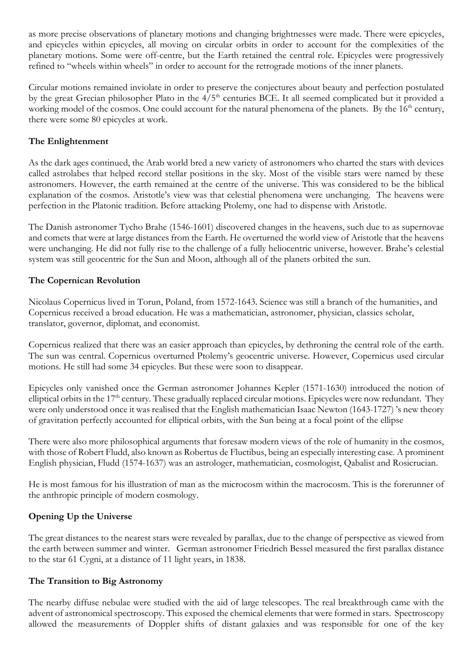as more precise observations of planetary motions and changing brightnesses were made. There were epicycles, and epicycles within epicycles, all moving on circular orbits in order to account for the complexities of the planetary motions. Some were off-centre, but the Earth retained the central role. Epicycles were progressively refined to "wheels within wheels" in order to account for the retrograde motions of the inner planets.

Circular motions remained inviolate in order to preserve the conjectures about beauty and perfection postulated by the great Grecian philosopher Plato in the 4/5<sup>th</sup> centuries BCE. It all seemed complicated but it provided a working model of the cosmos. One could account for the natural phenomena of the planets. By the 16<sup>th</sup> century, there were some 80 epicycles at work.

# **The Enlightenment**

As the dark ages continued, the Arab world bred a new variety of astronomers who charted the stars with devices called astrolabes that helped record stellar positions in the sky. Most of the visible stars were named by these astronomers. However, the earth remained at the centre of the universe. This was considered to be the biblical explanation of the cosmos. Aristotle's view was that celestial phenomena were unchanging. The heavens were perfection in the Platonic tradition. Before attacking Ptolemy, one had to dispense with Aristotle.

The Danish astronomer Tycho Brahe (1546-1601) discovered changes in the heavens, such due to as supernovae and comets that were at large distances from the Earth. He overturned the world view of Aristotle that the heavens were unchanging. He did not fully rise to the challenge of a fully heliocentric universe, however. Brahe's celestial system was still geocentric for the Sun and Moon, although all of the planets orbited the sun.

# **The Copernican Revolution**

Nicolaus Copernicus lived in Torun, Poland, from 1572-1643. Science was still a branch of the humanities, and Copernicus received a broad education. He was a mathematician, astronomer, physician, classics scholar, translator, governor, diplomat, and economist.

Copernicus realized that there was an easier approach than epicycles, by dethroning the central role of the earth. The sun was central. Copernicus overturned Ptolemy's geocentric universe. However, Copernicus used circular motions. He still had some 34 epicycles. But these were soon to disappear.

Epicycles only vanished once the German astronomer Johannes Kepler (1571-1630) introduced the notion of elliptical orbits in the 17<sup>th</sup> century. These gradually replaced circular motions. Epicycles were now redundant. They were only understood once it was realised that the English mathematician Isaac Newton (1643-1727) 's new theory of gravitation perfectly accounted for elliptical orbits, with the Sun being at a focal point of the ellipse

There were also more philosophical arguments that foresaw modern views of the role of humanity in the cosmos, with those of Robert Fludd, also known as Robertus de Fluctibus, being an especially interesting case. A prominent English physician, Fludd (1574-1637) was an astrologer, mathematician, cosmologist, Qabalist and Rosicrucian.

He is most famous for his illustration of man as the microcosm within the macrocosm. This is the forerunner of the anthropic principle of modern cosmology.

# **Opening Up the Universe**

The great distances to the nearest stars were revealed by parallax, due to the change of perspective as viewed from the earth between summer and winter. German astronomer Friedrich Bessel measured the first parallax distance to the star 61 Cygni, at a distance of 11 light years, in 1838.

## **The Transition to Big Astronomy**

The nearby diffuse nebulae were studied with the aid of large telescopes. The real breakthrough came with the advent of astronomical spectroscopy. This exposed the chemical elements that were formed in stars. Spectroscopy allowed the measurements of Doppler shifts of distant galaxies and was responsible for one of the key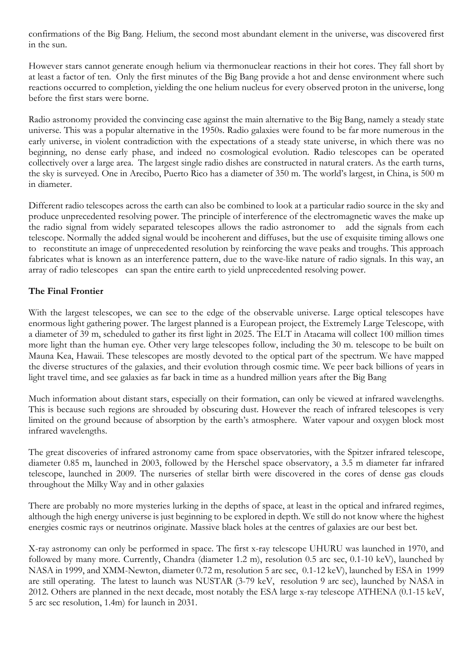confirmations of the Big Bang. Helium, the second most abundant element in the universe, was discovered first in the sun.

However stars cannot generate enough helium via thermonuclear reactions in their hot cores. They fall short by at least a factor of ten. Only the first minutes of the Big Bang provide a hot and dense environment where such reactions occurred to completion, yielding the one helium nucleus for every observed proton in the universe, long before the first stars were borne.

Radio astronomy provided the convincing case against the main alternative to the Big Bang, namely a steady state universe. This was a popular alternative in the 1950s. Radio galaxies were found to be far more numerous in the early universe, in violent contradiction with the expectations of a steady state universe, in which there was no beginning, no dense early phase, and indeed no cosmological evolution. Radio telescopes can be operated collectively over a large area. The largest single radio dishes are constructed in natural craters. As the earth turns, the sky is surveyed. One in Arecibo, Puerto Rico has a diameter of 350 m. The world's largest, in China, is 500 m in diameter.

Different radio telescopes across the earth can also be combined to look at a particular radio source in the sky and produce unprecedented resolving power. The principle of interference of the electromagnetic waves the make up the radio signal from widely separated telescopes allows the radio astronomer to add the signals from each telescope. Normally the added signal would be incoherent and diffuses, but the use of exquisite timing allows one to reconstitute an image of unprecedented resolution by reinforcing the wave peaks and troughs. This approach fabricates what is known as an interference pattern, due to the wave-like nature of radio signals. In this way, an array of radio telescopes can span the entire earth to yield unprecedented resolving power.

## **The Final Frontier**

With the largest telescopes, we can see to the edge of the observable universe. Large optical telescopes have enormous light gathering power. The largest planned is a European project, the Extremely Large Telescope, with a diameter of 39 m, scheduled to gather its first light in 2025. The ELT in Atacama will collect 100 million times more light than the human eye. Other very large telescopes follow, including the 30 m. telescope to be built on Mauna Kea, Hawaii. These telescopes are mostly devoted to the optical part of the spectrum. We have mapped the diverse structures of the galaxies, and their evolution through cosmic time. We peer back billions of years in light travel time, and see galaxies as far back in time as a hundred million years after the Big Bang

Much information about distant stars, especially on their formation, can only be viewed at infrared wavelengths. This is because such regions are shrouded by obscuring dust. However the reach of infrared telescopes is very limited on the ground because of absorption by the earth's atmosphere. Water vapour and oxygen block most infrared wavelengths.

The great discoveries of infrared astronomy came from space observatories, with the Spitzer infrared telescope, diameter 0.85 m, launched in 2003, followed by the Herschel space observatory, a 3.5 m diameter far infrared telescope, launched in 2009. The nurseries of stellar birth were discovered in the cores of dense gas clouds throughout the Milky Way and in other galaxies

There are probably no more mysteries lurking in the depths of space, at least in the optical and infrared regimes, although the high energy universe is just beginning to be explored in depth. We still do not know where the highest energies cosmic rays or neutrinos originate. Massive black holes at the centres of galaxies are our best bet.

X-ray astronomy can only be performed in space. The first x-ray telescope UHURU was launched in 1970, and followed by many more. Currently, Chandra (diameter 1.2 m), resolution 0.5 arc sec, 0.1-10 keV), launched by NASA in 1999, and XMM-Newton, diameter 0.72 m, resolution 5 arc sec, 0.1-12 keV), launched by ESA in 1999 are still operating. The latest to launch was NUSTAR (3-79 keV, resolution 9 arc sec), launched by NASA in 2012. Others are planned in the next decade, most notably the ESA large x-ray telescope ATHENA (0.1-15 keV, 5 arc sec resolution, 1.4m) for launch in 2031.